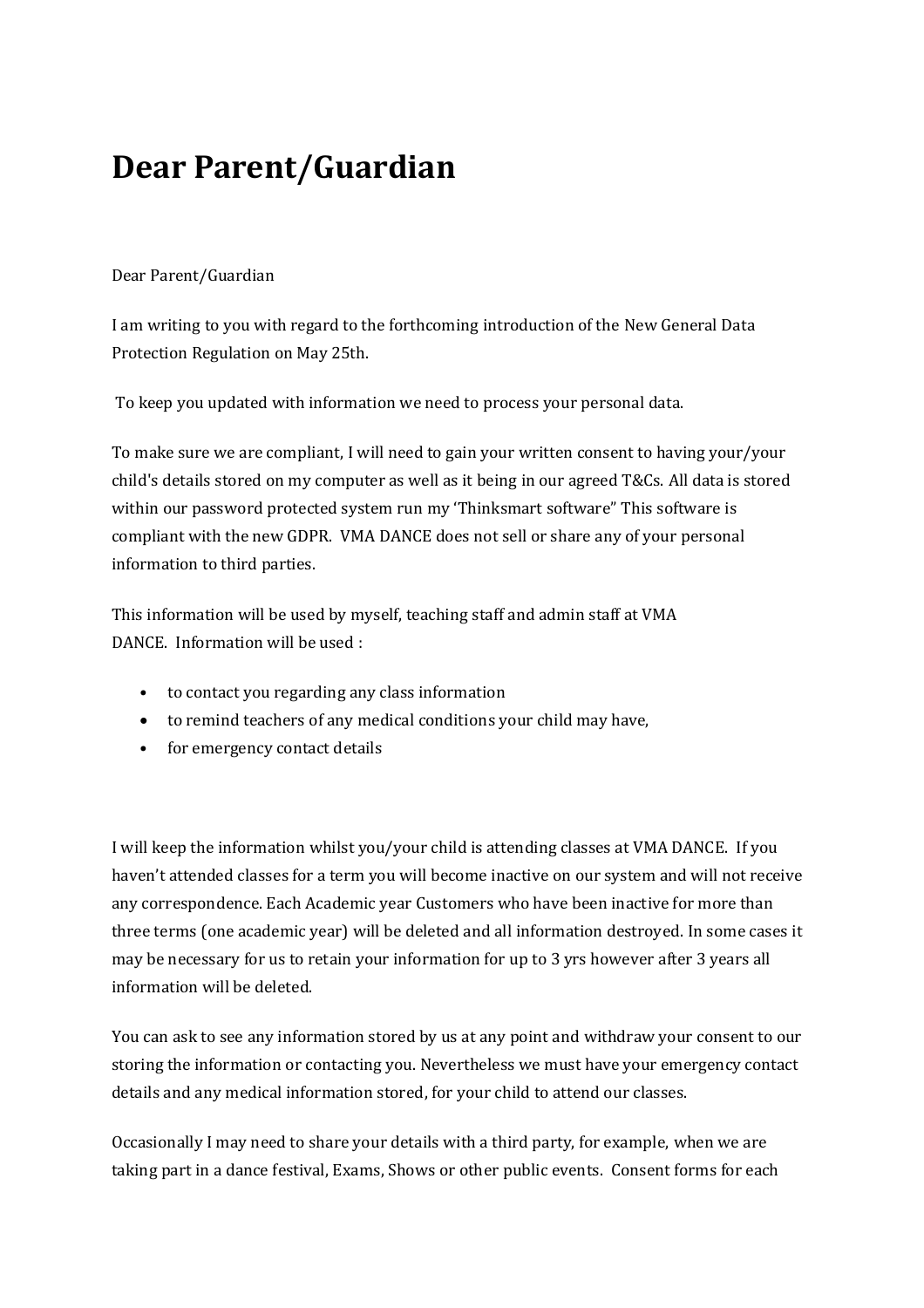## **Dear Parent/Guardian**

## Dear Parent/Guardian

I am writing to you with regard to the forthcoming introduction of the New General Data Protection Regulation on May 25th.

To keep you updated with information we need to process your personal data.

To make sure we are compliant, I will need to gain your written consent to having your/your child's details stored on my computer as well as it being in our agreed T&Cs. All data is stored within our password protected system run my 'Thinksmart software" This software is compliant with the new GDPR. VMA DANCE does not sell or share any of your personal information to third parties.

This information will be used by myself, teaching staff and admin staff at VMA DANCE. Information will be used :

- to contact you regarding any class information
- to remind teachers of any medical conditions your child may have,
- for emergency contact details

I will keep the information whilst you/your child is attending classes at VMA DANCE. If you haven't attended classes for a term you will become inactive on our system and will not receive any correspondence. Each Academic year Customers who have been inactive for more than three terms (one academic year) will be deleted and all information destroyed. In some cases it may be necessary for us to retain your information for up to 3 yrs however after 3 years all information will be deleted.

You can ask to see any information stored by us at any point and withdraw your consent to our storing the information or contacting you. Nevertheless we must have your emergency contact details and any medical information stored, for your child to attend our classes.

Occasionally I may need to share your details with a third party, for example, when we are taking part in a dance festival, Exams, Shows or other public events. Consent forms for each